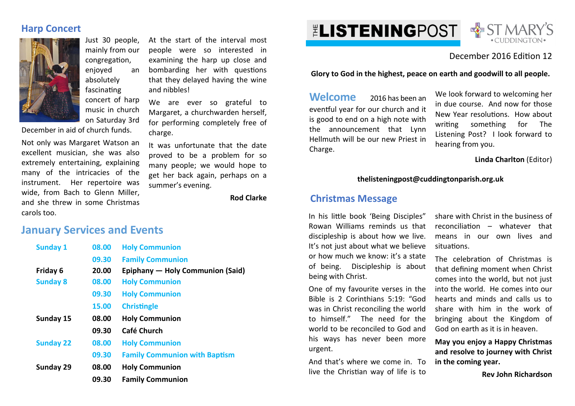# **Harp Concert**



Just 30 people, mainly from our congregation. enjoyed an absolutely fascinating concert of harp music in church on Saturday 3rd

December in aid of church funds.

Not only was Margaret Watson an excellent musician, she was also extremely entertaining, explaining many of the intricacies of the instrument. Her repertoire was wide, from Bach to Glenn Miller, and she threw in some Christmas carols too.

At the start of the interval most people were so interested in examining the harp up close and bombarding her with questions that they delayed having the wine and nibbles!

We are ever so grateful to Margaret, a churchwarden herself, for performing completely free of charge.

It was unfortunate that the date proved to be a problem for so many people; we would hope to get her back again, perhaps on a summer's evening.

**Rod Clarke** 

# **January Services and Events**

| <b>Sunday 1</b>  | 08.00 | <b>Holy Communion</b>                |
|------------------|-------|--------------------------------------|
|                  | 09.30 | <b>Family Communion</b>              |
| Friday 6         | 20.00 | Epiphany — Holy Communion (Said)     |
| <b>Sunday 8</b>  | 08.00 | <b>Holy Communion</b>                |
|                  | 09.30 | <b>Holy Communion</b>                |
|                  | 15.00 | <b>Christingle</b>                   |
| Sunday 15        | 08.00 | <b>Holy Communion</b>                |
|                  | 09.30 | Café Church                          |
| <b>Sunday 22</b> | 08.00 | <b>Holy Communion</b>                |
|                  | 09.30 | <b>Family Communion with Baptism</b> |
| Sunday 29        | 08.00 | <b>Holy Communion</b>                |
|                  | 09.30 | <b>Family Communion</b>              |





# December 2016 Edition 12

**Glory to God in the highest, peace on earth and goodwill to all people.**

**Welcome** 2016 has been an eventful year for our church and it is good to end on a high note with the announcement that Lynn Hellmuth will be our new Priest in Charge.

We look forward to welcoming her in due course. And now for those New Year resolutions. How about writing something for The Listening Post? I look forward to hearing from you.

**Linda Charlton** (Editor)

### **thelisteningpost@cuddingtonparish.org.uk**

## **Christmas Message**

In his little book 'Being Disciples" Rowan Williams reminds us that discipleship is about how we live. It's not just about what we believe or how much we know: it's a state of being. Discipleship is about being with Christ.

One of my favourite verses in the Bible is 2 Corinthians 5:19: "God was in Christ reconciling the world to himself." The need for the world to be reconciled to God and his ways has never been more urgent.

And that's where we come in. To live the Christian way of life is to

share with Christ in the business of  $reconciliation$  – whatever that means in our own lives and situations.

The celebration of Christmas is that defining moment when Christ comes into the world, but not just into the world. He comes into our hearts and minds and calls us to share with him in the work of bringing about the Kingdom of God on earth as it is in heaven.

**May you enjoy a Happy Christmas and resolve to journey with Christ in the coming year.** 

**Rev John Richardson**